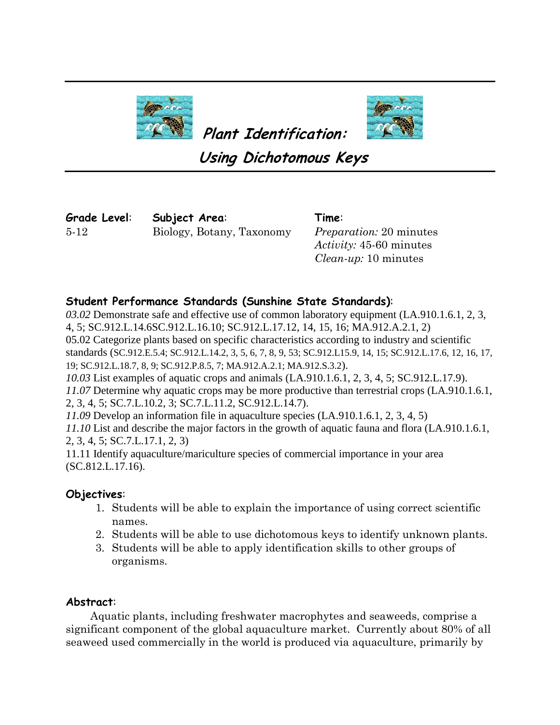



**Using Dichotomous Keys**

**Plant Identification:**

**Grade Level**: 5-12

**Subject Area**: Biology, Botany, Taxonomy

**Time**: *Preparation:* 20 minutes *Activity:* 45-60 minutes *Clean-up:* 10 minutes

# **Student Performance Standards (Sunshine State Standards)**:

*03.02* Demonstrate safe and effective use of common laboratory equipment (LA.910.1.6.1, 2, 3, 4, 5; SC.912.L.14.6SC.912.L.16.10; SC.912.L.17.12, 14, 15, 16; MA.912.A.2.1, 2) 05.02 Categorize plants based on specific characteristics according to industry and scientific standards (SC.912.E.5.4; SC.912.L.14.2, 3, 5, 6, 7, 8, 9, 53; SC.912.L15.9, 14, 15; SC.912.L.17.6, 12, 16, 17, 19; SC.912.L.18.7, 8, 9; SC.912.P.8.5, 7; MA.912.A.2.1; MA.912.S.3.2). *10.03* List examples of aquatic crops and animals (LA.910.1.6.1, 2, 3, 4, 5; SC.912.L.17.9). *11.07* Determine why aquatic crops may be more productive than terrestrial crops (LA.910.1.6.1, 2, 3, 4, 5; SC.7.L.10.2, 3; SC.7.L.11.2, SC.912.L.14.7). *11.09* Develop an information file in aquaculture species (LA.910.1.6.1, 2, 3, 4, 5) *11.10* List and describe the major factors in the growth of aquatic fauna and flora (LA.910.1.6.1,

2, 3, 4, 5; SC.7.L.17.1, 2, 3)

11.11 Identify aquaculture/mariculture species of commercial importance in your area (SC.812.L.17.16).

## **Objectives**:

- 1. Students will be able to explain the importance of using correct scientific names.
- 2. Students will be able to use dichotomous keys to identify unknown plants.
- 3. Students will be able to apply identification skills to other groups of organisms.

## **Abstract**:

 Aquatic plants, including freshwater macrophytes and seaweeds, comprise a significant component of the global aquaculture market. Currently about 80% of all seaweed used commercially in the world is produced via aquaculture, primarily by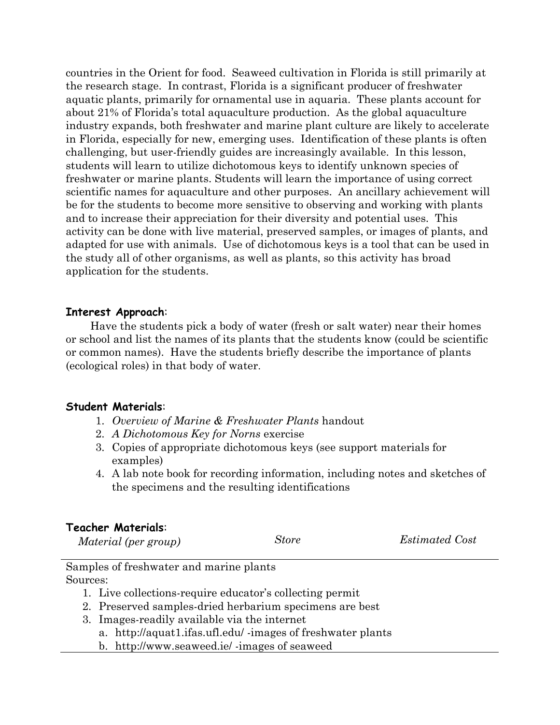countries in the Orient for food. Seaweed cultivation in Florida is still primarily at the research stage. In contrast, Florida is a significant producer of freshwater aquatic plants, primarily for ornamental use in aquaria. These plants account for about 21% of Florida's total aquaculture production. As the global aquaculture industry expands, both freshwater and marine plant culture are likely to accelerate in Florida, especially for new, emerging uses. Identification of these plants is often challenging, but user-friendly guides are increasingly available. In this lesson, students will learn to utilize dichotomous keys to identify unknown species of freshwater or marine plants. Students will learn the importance of using correct scientific names for aquaculture and other purposes. An ancillary achievement will be for the students to become more sensitive to observing and working with plants and to increase their appreciation for their diversity and potential uses. This activity can be done with live material, preserved samples, or images of plants, and adapted for use with animals. Use of dichotomous keys is a tool that can be used in the study all of other organisms, as well as plants, so this activity has broad application for the students.

#### **Interest Approach**:

 Have the students pick a body of water (fresh or salt water) near their homes or school and list the names of its plants that the students know (could be scientific or common names). Have the students briefly describe the importance of plants (ecological roles) in that body of water.

#### **Student Materials**:

- 1. *Overview of Marine & Freshwater Plants* handout
- 2. *A Dichotomous Key for Norns* exercise
- 3. Copies of appropriate dichotomous keys (see support materials for examples)
- 4. A lab note book for recording information, including notes and sketches of the specimens and the resulting identifications

#### **Teacher Materials**:

| Material (per group) | Store | <i>Estimated Cost</i> |
|----------------------|-------|-----------------------|
|                      |       |                       |

|          | Samples of freshwater and marine plants |  |  |
|----------|-----------------------------------------|--|--|
| Sources: |                                         |  |  |

- 1. Live collections-require educator's collecting permit
- 2. Preserved samples-dried herbarium specimens are best
- 3. Images-readily available via the internet
	- a. http://aquat1.ifas.ufl.edu/ -images of freshwater plants
	- b. http://www.seaweed.ie/ -images of seaweed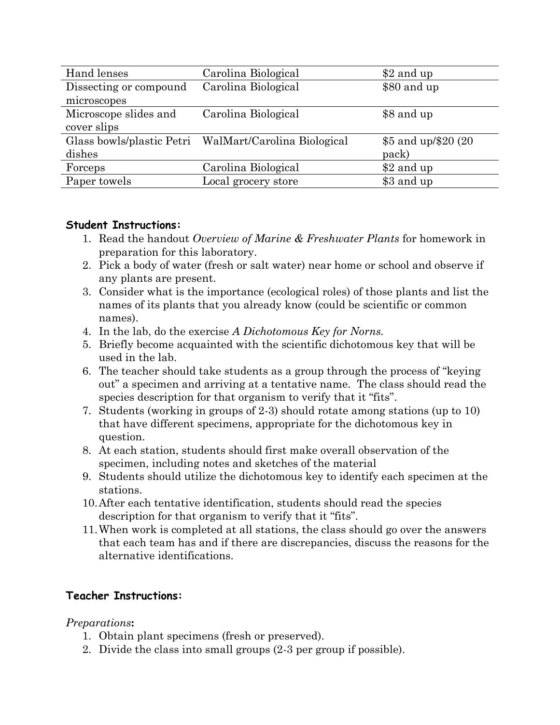| Hand lenses            | Carolina Biological                                   | \$2 and up           |
|------------------------|-------------------------------------------------------|----------------------|
| Dissecting or compound | Carolina Biological                                   | \$80 and up          |
| microscopes            |                                                       |                      |
| Microscope slides and  | Carolina Biological                                   | \$8 and up           |
| cover slips            |                                                       |                      |
|                        | Glass bowls/plastic Petri WalMart/Carolina Biological | \$5 and up/\$20 (20) |
| dishes                 |                                                       | pack)                |
| Forceps                | Carolina Biological                                   | \$2 and up           |
| Paper towels           | Local grocery store                                   | \$3 and up           |

#### **Student Instructions:**

- 1. Read the handout *Overview of Marine & Freshwater Plants* for homework in preparation for this laboratory.
- 2. Pick a body of water (fresh or salt water) near home or school and observe if any plants are present.
- 3. Consider what is the importance (ecological roles) of those plants and list the names of its plants that you already know (could be scientific or common names).
- 4. In the lab, do the exercise *A Dichotomous Key for Norns.*
- 5. Briefly become acquainted with the scientific dichotomous key that will be used in the lab.
- 6. The teacher should take students as a group through the process of "keying out" a specimen and arriving at a tentative name. The class should read the species description for that organism to verify that it "fits".
- 7. Students (working in groups of 2-3) should rotate among stations (up to 10) that have different specimens, appropriate for the dichotomous key in question.
- 8. At each station, students should first make overall observation of the specimen, including notes and sketches of the material
- 9. Students should utilize the dichotomous key to identify each specimen at the stations.
- 10.After each tentative identification, students should read the species description for that organism to verify that it "fits".
- 11.When work is completed at all stations, the class should go over the answers that each team has and if there are discrepancies, discuss the reasons for the alternative identifications.

## **Teacher Instructions:**

#### *Preparations***:**

- 1. Obtain plant specimens (fresh or preserved).
- 2. Divide the class into small groups (2-3 per group if possible).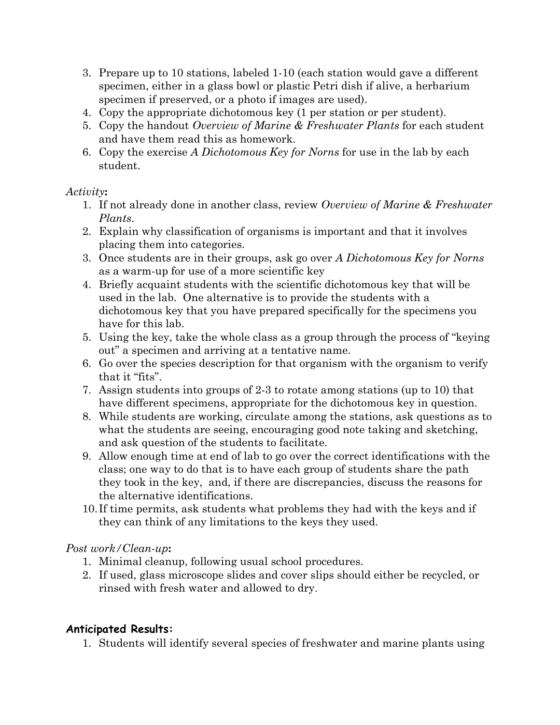- 3. Prepare up to 10 stations, labeled 1-10 (each station would gave a different specimen, either in a glass bowl or plastic Petri dish if alive, a herbarium specimen if preserved, or a photo if images are used).
- 4. Copy the appropriate dichotomous key (1 per station or per student).
- 5. Copy the handout *Overview of Marine & Freshwater Plants* for each student and have them read this as homework.
- 6. Copy the exercise *A Dichotomous Key for Norns* for use in the lab by each student.

#### *Activity***:**

- 1. If not already done in another class, review *Overview of Marine & Freshwater Plants*.
- 2. Explain why classification of organisms is important and that it involves placing them into categories.
- 3. Once students are in their groups, ask go over *A Dichotomous Key for Norns*  as a warm-up for use of a more scientific key
- 4. Briefly acquaint students with the scientific dichotomous key that will be used in the lab. One alternative is to provide the students with a dichotomous key that you have prepared specifically for the specimens you have for this lab.
- 5. Using the key, take the whole class as a group through the process of "keying out" a specimen and arriving at a tentative name.
- 6. Go over the species description for that organism with the organism to verify that it "fits".
- 7. Assign students into groups of 2-3 to rotate among stations (up to 10) that have different specimens, appropriate for the dichotomous key in question.
- 8. While students are working, circulate among the stations, ask questions as to what the students are seeing, encouraging good note taking and sketching, and ask question of the students to facilitate.
- 9. Allow enough time at end of lab to go over the correct identifications with the class; one way to do that is to have each group of students share the path they took in the key, and, if there are discrepancies, discuss the reasons for the alternative identifications.
- 10.If time permits, ask students what problems they had with the keys and if they can think of any limitations to the keys they used.

## *Post work/Clean-up***:**

- 1. Minimal cleanup, following usual school procedures.
- 2. If used, glass microscope slides and cover slips should either be recycled, or rinsed with fresh water and allowed to dry.

## **Anticipated Results:**

1. Students will identify several species of freshwater and marine plants using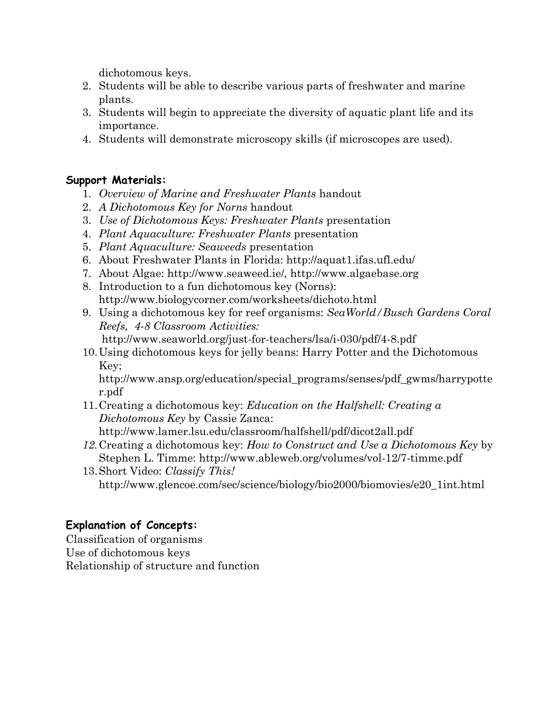dichotomous keys.

- 2. Students will be able to describe various parts of freshwater and marine plants.
- 3. Students will begin to appreciate the diversity of aquatic plant life and its importance.
- 4. Students will demonstrate microscopy skills (if microscopes are used).

#### **Support Materials:**

- 1. *Overview of Marine and Freshwater Plants* handout
- 2. *A Dichotomous Key for Norns* handout
- 3. *Use of Dichotomous Keys: Freshwater Plants* presentation
- 4. *Plant Aquaculture: Freshwater Plants* presentation
- 5. *Plant Aquaculture: Seaweeds* presentation
- 6. About Freshwater Plants in Florida: http://aquat1.ifas.ufl.edu/
- 7. About Algae: http://www.seaweed.ie/, http://www.algaebase.org
- 8. Introduction to a fun dichotomous key (Norns): http://www.biologycorner.com/worksheets/dichoto.html
- 9. Using a dichotomous key for reef organisms: *SeaWorld/Busch Gardens Coral Reefs, 4-8 Classroom Activities:* http://www.seaworld.org/just-for-teachers/lsa/i-030/pdf/4-8.pdf
- 10.Using dichotomous keys for jelly beans: Harry Potter and the Dichotomous Key;

http://www.ansp.org/education/special\_programs/senses/pdf\_gwms/harrypotte r.pdf

- 11.Creating a dichotomous key: *Education on the Halfshell: Creating a Dichotomous Key* by Cassie Zanca: http://www.lamer.lsu.edu/classroom/halfshell/pdf/dicot2all.pdf
- *12.*Creating a dichotomous key: *How to Construct and Use a Dichotomous Key* by Stephen L. Timme: http://www.ableweb.org/volumes/vol-12/7-timme.pdf
- 13.Short Video: *Classify This!* http://www.glencoe.com/sec/science/biology/bio2000/biomovies/e20\_1int.html

## **Explanation of Concepts:**

Classification of organisms Use of dichotomous keys Relationship of structure and function